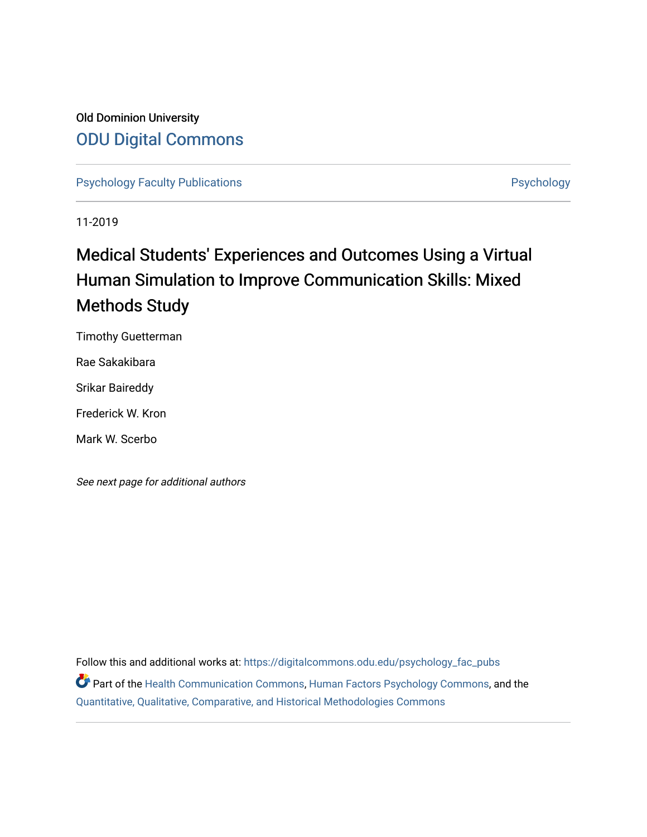# Old Dominion University [ODU Digital Commons](https://digitalcommons.odu.edu/)

[Psychology Faculty Publications](https://digitalcommons.odu.edu/psychology_fac_pubs) **Psychology** Psychology

11-2019

# Medical Students' Experiences and Outcomes Using a Virtual Human Simulation to Improve Communication Skills: Mixed Methods Study

Timothy Guetterman

Rae Sakakibara

Srikar Baireddy

Frederick W. Kron

Mark W. Scerbo

See next page for additional authors

Follow this and additional works at: [https://digitalcommons.odu.edu/psychology\\_fac\\_pubs](https://digitalcommons.odu.edu/psychology_fac_pubs?utm_source=digitalcommons.odu.edu%2Fpsychology_fac_pubs%2F99&utm_medium=PDF&utm_campaign=PDFCoverPages) Part of the [Health Communication Commons](http://network.bepress.com/hgg/discipline/330?utm_source=digitalcommons.odu.edu%2Fpsychology_fac_pubs%2F99&utm_medium=PDF&utm_campaign=PDFCoverPages), [Human Factors Psychology Commons](http://network.bepress.com/hgg/discipline/1412?utm_source=digitalcommons.odu.edu%2Fpsychology_fac_pubs%2F99&utm_medium=PDF&utm_campaign=PDFCoverPages), and the [Quantitative, Qualitative, Comparative, and Historical Methodologies Commons](http://network.bepress.com/hgg/discipline/423?utm_source=digitalcommons.odu.edu%2Fpsychology_fac_pubs%2F99&utm_medium=PDF&utm_campaign=PDFCoverPages)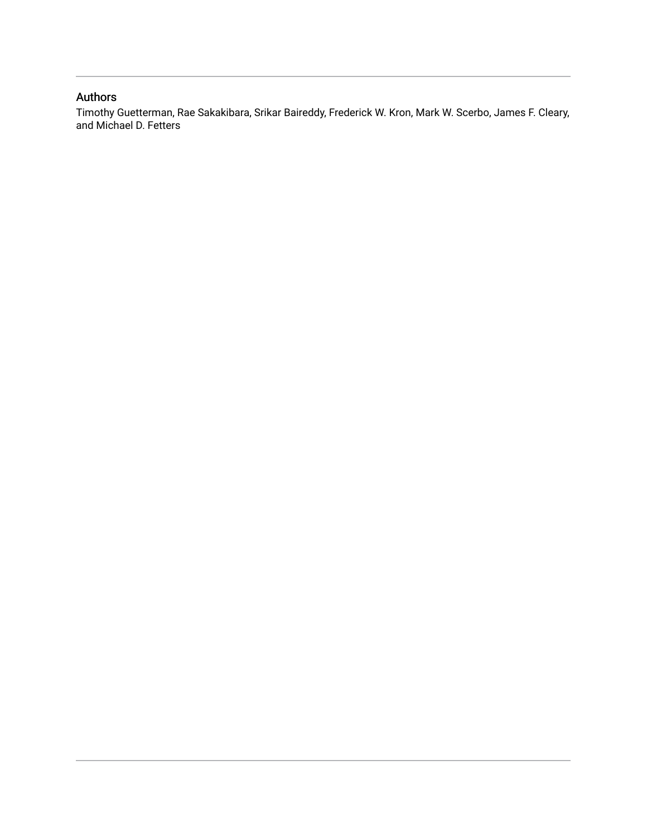# Authors

Timothy Guetterman, Rae Sakakibara, Srikar Baireddy, Frederick W. Kron, Mark W. Scerbo, James F. Cleary, and Michael D. Fetters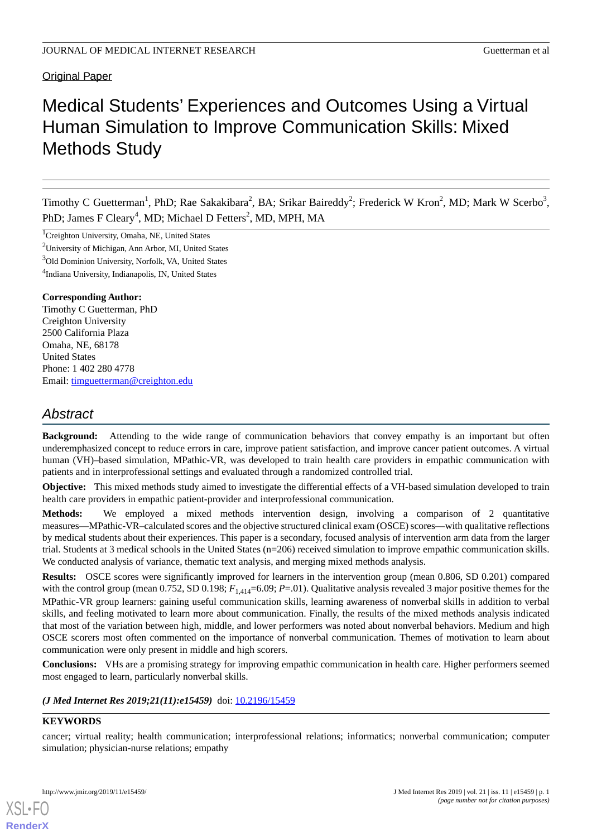# Original Paper

# Medical Students' Experiences and Outcomes Using a Virtual Human Simulation to Improve Communication Skills: Mixed Methods Study

Timothy C Guetterman<sup>1</sup>, PhD; Rae Sakakibara<sup>2</sup>, BA; Srikar Baireddy<sup>2</sup>; Frederick W Kron<sup>2</sup>, MD; Mark W Scerbo<sup>3</sup>, PhD; James F Cleary<sup>4</sup>, MD; Michael D Fetters<sup>2</sup>, MD, MPH, MA

<sup>1</sup>Creighton University, Omaha, NE, United States

 $2$ University of Michigan, Ann Arbor, MI, United States

<sup>3</sup>Old Dominion University, Norfolk, VA, United States

4 Indiana University, Indianapolis, IN, United States

# **Corresponding Author:**

Timothy C Guetterman, PhD Creighton University 2500 California Plaza Omaha, NE, 68178 United States Phone: 1 402 280 4778 Email: [timguetterman@creighton.edu](mailto:timguetterman@creighton.edu)

# *Abstract*

**Background:** Attending to the wide range of communication behaviors that convey empathy is an important but often underemphasized concept to reduce errors in care, improve patient satisfaction, and improve cancer patient outcomes. A virtual human (VH)–based simulation, MPathic-VR, was developed to train health care providers in empathic communication with patients and in interprofessional settings and evaluated through a randomized controlled trial.

**Objective:** This mixed methods study aimed to investigate the differential effects of a VH-based simulation developed to train health care providers in empathic patient-provider and interprofessional communication.

**Methods:** We employed a mixed methods intervention design, involving a comparison of 2 quantitative measures—MPathic-VR–calculated scores and the objective structured clinical exam (OSCE) scores—with qualitative reflections by medical students about their experiences. This paper is a secondary, focused analysis of intervention arm data from the larger trial. Students at 3 medical schools in the United States (n=206) received simulation to improve empathic communication skills. We conducted analysis of variance, thematic text analysis, and merging mixed methods analysis.

**Results:** OSCE scores were significantly improved for learners in the intervention group (mean 0.806, SD 0.201) compared with the control group (mean 0.752, SD 0.198;  $F_{1,414}$ =6.09; *P*=.01). Qualitative analysis revealed 3 major positive themes for the MPathic-VR group learners: gaining useful communication skills, learning awareness of nonverbal skills in addition to verbal skills, and feeling motivated to learn more about communication. Finally, the results of the mixed methods analysis indicated that most of the variation between high, middle, and lower performers was noted about nonverbal behaviors. Medium and high OSCE scorers most often commented on the importance of nonverbal communication. Themes of motivation to learn about communication were only present in middle and high scorers.

**Conclusions:** VHs are a promising strategy for improving empathic communication in health care. Higher performers seemed most engaged to learn, particularly nonverbal skills.

# *(J Med Internet Res 2019;21(11):e15459)* doi:  $10.2196/15459$

# **KEYWORDS**

[XSL](http://www.w3.org/Style/XSL)•FO **[RenderX](http://www.renderx.com/)**

cancer; virtual reality; health communication; interprofessional relations; informatics; nonverbal communication; computer simulation; physician-nurse relations; empathy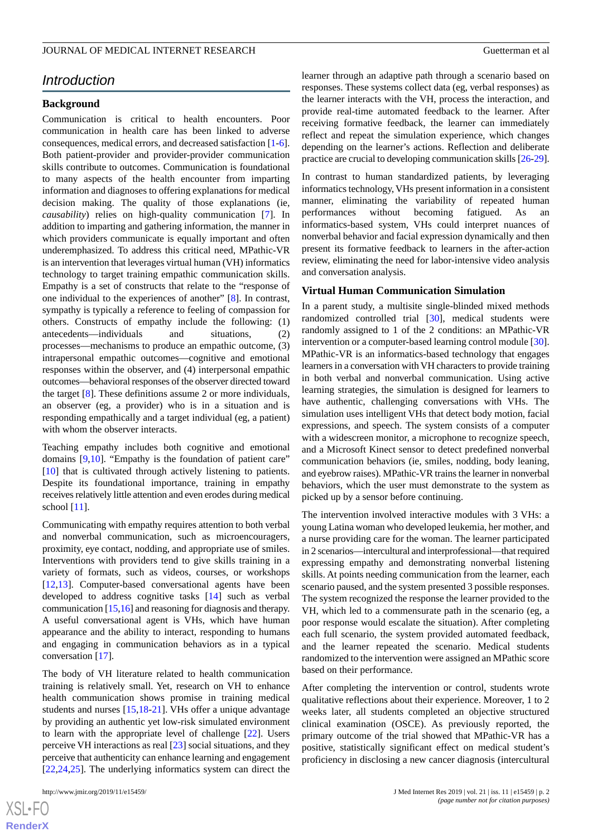# *Introduction*

# **Background**

Communication is critical to health encounters. Poor communication in health care has been linked to adverse consequences, medical errors, and decreased satisfaction [\[1-](#page-8-0)[6\]](#page-8-1). Both patient-provider and provider-provider communication skills contribute to outcomes. Communication is foundational to many aspects of the health encounter from imparting information and diagnoses to offering explanations for medical decision making. The quality of those explanations (ie, *causability*) relies on high-quality communication [\[7](#page-8-2)]. In addition to imparting and gathering information, the manner in which providers communicate is equally important and often underemphasized. To address this critical need, MPathic-VR is an intervention that leverages virtual human (VH) informatics technology to target training empathic communication skills. Empathy is a set of constructs that relate to the "response of one individual to the experiences of another" [\[8](#page-8-3)]. In contrast, sympathy is typically a reference to feeling of compassion for others. Constructs of empathy include the following: (1) antecedents—individuals and situations, (2) processes—mechanisms to produce an empathic outcome, (3) intrapersonal empathic outcomes—cognitive and emotional responses within the observer, and (4) interpersonal empathic outcomes—behavioral responses of the observer directed toward the target [[8\]](#page-8-3). These definitions assume 2 or more individuals, an observer (eg, a provider) who is in a situation and is responding empathically and a target individual (eg, a patient) with whom the observer interacts.

Teaching empathy includes both cognitive and emotional domains [\[9](#page-8-4),[10\]](#page-8-5). "Empathy is the foundation of patient care" [[10\]](#page-8-5) that is cultivated through actively listening to patients. Despite its foundational importance, training in empathy receives relatively little attention and even erodes during medical school  $[11]$  $[11]$ .

Communicating with empathy requires attention to both verbal and nonverbal communication, such as microencouragers, proximity, eye contact, nodding, and appropriate use of smiles. Interventions with providers tend to give skills training in a variety of formats, such as videos, courses, or workshops [[12](#page-8-7)[,13](#page-8-8)]. Computer-based conversational agents have been developed to address cognitive tasks [[14\]](#page-8-9) such as verbal communication [[15,](#page-8-10)[16\]](#page-8-11) and reasoning for diagnosis and therapy. A useful conversational agent is VHs, which have human appearance and the ability to interact, responding to humans and engaging in communication behaviors as in a typical conversation [[17\]](#page-8-12).

The body of VH literature related to health communication training is relatively small. Yet, research on VH to enhance health communication shows promise in training medical students and nurses [\[15](#page-8-10),[18-](#page-9-0)[21\]](#page-9-1). VHs offer a unique advantage by providing an authentic yet low-risk simulated environment to learn with the appropriate level of challenge [[22\]](#page-9-2). Users perceive VH interactions as real [\[23](#page-9-3)] social situations, and they perceive that authenticity can enhance learning and engagement [[22](#page-9-2)[,24](#page-9-4),[25\]](#page-9-5). The underlying informatics system can direct the

 $XS$ -FO **[RenderX](http://www.renderx.com/)** learner through an adaptive path through a scenario based on responses. These systems collect data (eg, verbal responses) as the learner interacts with the VH, process the interaction, and provide real-time automated feedback to the learner. After receiving formative feedback, the learner can immediately reflect and repeat the simulation experience, which changes depending on the learner's actions. Reflection and deliberate practice are crucial to developing communication skills [\[26](#page-9-6)[-29](#page-9-7)].

In contrast to human standardized patients, by leveraging informatics technology, VHs present information in a consistent manner, eliminating the variability of repeated human performances without becoming fatigued. As an informatics-based system, VHs could interpret nuances of nonverbal behavior and facial expression dynamically and then present its formative feedback to learners in the after-action review, eliminating the need for labor-intensive video analysis and conversation analysis.

# **Virtual Human Communication Simulation**

In a parent study, a multisite single-blinded mixed methods randomized controlled trial [[30\]](#page-9-8), medical students were randomly assigned to 1 of the 2 conditions: an MPathic-VR intervention or a computer-based learning control module [[30\]](#page-9-8). MPathic-VR is an informatics-based technology that engages learners in a conversation with VH characters to provide training in both verbal and nonverbal communication. Using active learning strategies, the simulation is designed for learners to have authentic, challenging conversations with VHs. The simulation uses intelligent VHs that detect body motion, facial expressions, and speech. The system consists of a computer with a widescreen monitor, a microphone to recognize speech, and a Microsoft Kinect sensor to detect predefined nonverbal communication behaviors (ie, smiles, nodding, body leaning, and eyebrow raises). MPathic-VR trains the learner in nonverbal behaviors, which the user must demonstrate to the system as picked up by a sensor before continuing.

The intervention involved interactive modules with 3 VHs: a young Latina woman who developed leukemia, her mother, and a nurse providing care for the woman. The learner participated in 2 scenarios—intercultural and interprofessional—that required expressing empathy and demonstrating nonverbal listening skills. At points needing communication from the learner, each scenario paused, and the system presented 3 possible responses. The system recognized the response the learner provided to the VH, which led to a commensurate path in the scenario (eg, a poor response would escalate the situation). After completing each full scenario, the system provided automated feedback, and the learner repeated the scenario. Medical students randomized to the intervention were assigned an MPathic score based on their performance.

After completing the intervention or control, students wrote qualitative reflections about their experience. Moreover, 1 to 2 weeks later, all students completed an objective structured clinical examination (OSCE). As previously reported, the primary outcome of the trial showed that MPathic-VR has a positive, statistically significant effect on medical student's proficiency in disclosing a new cancer diagnosis (intercultural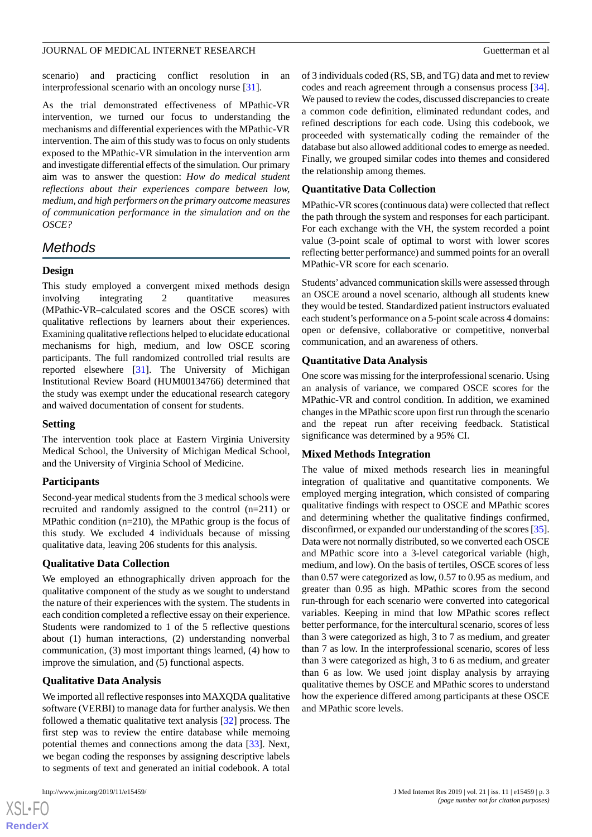scenario) and practicing conflict resolution in an interprofessional scenario with an oncology nurse [[31\]](#page-9-9).

As the trial demonstrated effectiveness of MPathic-VR intervention, we turned our focus to understanding the mechanisms and differential experiences with the MPathic-VR intervention. The aim of this study was to focus on only students exposed to the MPathic-VR simulation in the intervention arm and investigate differential effects of the simulation. Our primary aim was to answer the question: *How do medical student reflections about their experiences compare between low, medium, and high performers on the primary outcome measures of communication performance in the simulation and on the OSCE?*

# *Methods*

## **Design**

This study employed a convergent mixed methods design involving integrating 2 quantitative measures (MPathic-VR–calculated scores and the OSCE scores) with qualitative reflections by learners about their experiences. Examining qualitative reflections helped to elucidate educational mechanisms for high, medium, and low OSCE scoring participants. The full randomized controlled trial results are reported elsewhere [[31\]](#page-9-9). The University of Michigan Institutional Review Board (HUM00134766) determined that the study was exempt under the educational research category and waived documentation of consent for students.

#### **Setting**

The intervention took place at Eastern Virginia University Medical School, the University of Michigan Medical School, and the University of Virginia School of Medicine.

#### **Participants**

Second-year medical students from the 3 medical schools were recruited and randomly assigned to the control (n=211) or MPathic condition (n=210), the MPathic group is the focus of this study. We excluded 4 individuals because of missing qualitative data, leaving 206 students for this analysis.

# **Qualitative Data Collection**

We employed an ethnographically driven approach for the qualitative component of the study as we sought to understand the nature of their experiences with the system. The students in each condition completed a reflective essay on their experience. Students were randomized to 1 of the 5 reflective questions about (1) human interactions, (2) understanding nonverbal communication, (3) most important things learned, (4) how to improve the simulation, and (5) functional aspects.

# **Qualitative Data Analysis**

We imported all reflective responses into MAXQDA qualitative software (VERBI) to manage data for further analysis. We then followed a thematic qualitative text analysis [\[32](#page-9-10)] process. The first step was to review the entire database while memoing potential themes and connections among the data [[33\]](#page-9-11). Next, we began coding the responses by assigning descriptive labels to segments of text and generated an initial codebook. A total

 $XS$  • FO **[RenderX](http://www.renderx.com/)** of 3 individuals coded (RS, SB, and TG) data and met to review codes and reach agreement through a consensus process [[34\]](#page-9-12). We paused to review the codes, discussed discrepancies to create a common code definition, eliminated redundant codes, and refined descriptions for each code. Using this codebook, we proceeded with systematically coding the remainder of the database but also allowed additional codes to emerge as needed. Finally, we grouped similar codes into themes and considered the relationship among themes.

# **Quantitative Data Collection**

MPathic-VR scores (continuous data) were collected that reflect the path through the system and responses for each participant. For each exchange with the VH, the system recorded a point value (3-point scale of optimal to worst with lower scores reflecting better performance) and summed points for an overall MPathic-VR score for each scenario.

Students' advanced communication skills were assessed through an OSCE around a novel scenario, although all students knew they would be tested. Standardized patient instructors evaluated each student's performance on a 5-point scale across 4 domains: open or defensive, collaborative or competitive, nonverbal communication, and an awareness of others.

#### **Quantitative Data Analysis**

One score was missing for the interprofessional scenario. Using an analysis of variance, we compared OSCE scores for the MPathic-VR and control condition. In addition, we examined changes in the MPathic score upon first run through the scenario and the repeat run after receiving feedback. Statistical significance was determined by a 95% CI.

# **Mixed Methods Integration**

The value of mixed methods research lies in meaningful integration of qualitative and quantitative components. We employed merging integration, which consisted of comparing qualitative findings with respect to OSCE and MPathic scores and determining whether the qualitative findings confirmed, disconfirmed, or expanded our understanding of the scores [\[35](#page-9-13)]. Data were not normally distributed, so we converted each OSCE and MPathic score into a 3-level categorical variable (high, medium, and low). On the basis of tertiles, OSCE scores of less than 0.57 were categorized as low, 0.57 to 0.95 as medium, and greater than 0.95 as high. MPathic scores from the second run-through for each scenario were converted into categorical variables. Keeping in mind that low MPathic scores reflect better performance, for the intercultural scenario, scores of less than 3 were categorized as high, 3 to 7 as medium, and greater than 7 as low. In the interprofessional scenario, scores of less than 3 were categorized as high, 3 to 6 as medium, and greater than 6 as low. We used joint display analysis by arraying qualitative themes by OSCE and MPathic scores to understand how the experience differed among participants at these OSCE and MPathic score levels.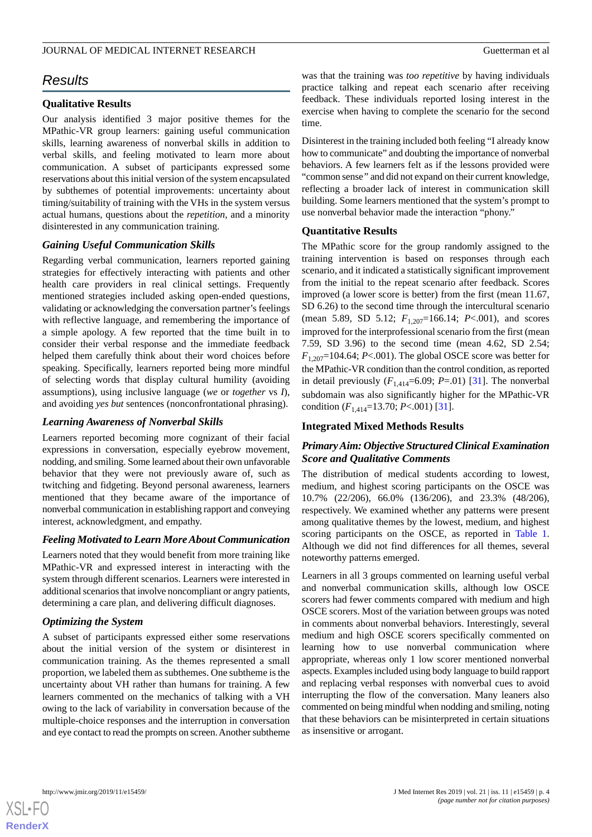# *Results*

# **Qualitative Results**

Our analysis identified 3 major positive themes for the MPathic-VR group learners: gaining useful communication skills, learning awareness of nonverbal skills in addition to verbal skills, and feeling motivated to learn more about communication. A subset of participants expressed some reservations about this initial version of the system encapsulated by subthemes of potential improvements: uncertainty about timing/suitability of training with the VHs in the system versus actual humans, questions about the *repetition*, and a minority disinterested in any communication training.

# *Gaining Useful Communication Skills*

Regarding verbal communication, learners reported gaining strategies for effectively interacting with patients and other health care providers in real clinical settings. Frequently mentioned strategies included asking open-ended questions, validating or acknowledging the conversation partner's feelings with reflective language, and remembering the importance of a simple apology. A few reported that the time built in to consider their verbal response and the immediate feedback helped them carefully think about their word choices before speaking. Specifically, learners reported being more mindful of selecting words that display cultural humility (avoiding assumptions), using inclusive language (*we* or *together* vs *I*), and avoiding *yes but* sentences (nonconfrontational phrasing).

# *Learning Awareness of Nonverbal Skills*

Learners reported becoming more cognizant of their facial expressions in conversation, especially eyebrow movement, nodding, and smiling. Some learned about their own unfavorable behavior that they were not previously aware of, such as twitching and fidgeting. Beyond personal awareness, learners mentioned that they became aware of the importance of nonverbal communication in establishing rapport and conveying interest, acknowledgment, and empathy.

#### *Feeling Motivated to Learn More About Communication*

Learners noted that they would benefit from more training like MPathic-VR and expressed interest in interacting with the system through different scenarios. Learners were interested in additional scenarios that involve noncompliant or angry patients, determining a care plan, and delivering difficult diagnoses.

#### *Optimizing the System*

A subset of participants expressed either some reservations about the initial version of the system or disinterest in communication training. As the themes represented a small proportion, we labeled them as subthemes. One subtheme is the uncertainty about VH rather than humans for training. A few learners commented on the mechanics of talking with a VH owing to the lack of variability in conversation because of the multiple-choice responses and the interruption in conversation and eye contact to read the prompts on screen. Another subtheme

was that the training was *too repetitive* by having individuals practice talking and repeat each scenario after receiving feedback. These individuals reported losing interest in the exercise when having to complete the scenario for the second time.

Disinterest in the training included both feeling "I already know how to communicate" and doubting the importance of nonverbal behaviors. A few learners felt as if the lessons provided were "common sense*"* and did not expand on their current knowledge, reflecting a broader lack of interest in communication skill building. Some learners mentioned that the system's prompt to use nonverbal behavior made the interaction "phony."

#### **Quantitative Results**

The MPathic score for the group randomly assigned to the training intervention is based on responses through each scenario, and it indicated a statistically significant improvement from the initial to the repeat scenario after feedback. Scores improved (a lower score is better) from the first (mean 11.67, SD 6.26) to the second time through the intercultural scenario (mean 5.89, SD 5.12;  $F_{1,207}$ =166.14; *P*<.001), and scores improved for the interprofessional scenario from the first (mean 7.59, SD 3.96) to the second time (mean 4.62, SD 2.54;  $F_{1,207}$ =104.64; *P*<.001). The global OSCE score was better for the MPathic-VR condition than the control condition, as reported in detail previously  $(F_{1,414}=6.09; P_{7}=01)$  [\[31](#page-9-9)]. The nonverbal subdomain was also significantly higher for the MPathic-VR condition (*F*1,414=13.70; *P*<.001) [[31\]](#page-9-9).

#### **Integrated Mixed Methods Results**

# *Primary Aim: Objective Structured Clinical Examination Score and Qualitative Comments*

The distribution of medical students according to lowest, medium, and highest scoring participants on the OSCE was 10.7% (22/206), 66.0% (136/206), and 23.3% (48/206), respectively. We examined whether any patterns were present among qualitative themes by the lowest, medium, and highest scoring participants on the OSCE, as reported in [Table 1](#page-6-0). Although we did not find differences for all themes, several noteworthy patterns emerged.

Learners in all 3 groups commented on learning useful verbal and nonverbal communication skills, although low OSCE scorers had fewer comments compared with medium and high OSCE scorers. Most of the variation between groups was noted in comments about nonverbal behaviors. Interestingly, several medium and high OSCE scorers specifically commented on learning how to use nonverbal communication where appropriate, whereas only 1 low scorer mentioned nonverbal aspects. Examples included using body language to build rapport and replacing verbal responses with nonverbal cues to avoid interrupting the flow of the conversation. Many leaners also commented on being mindful when nodding and smiling, noting that these behaviors can be misinterpreted in certain situations as insensitive or arrogant.

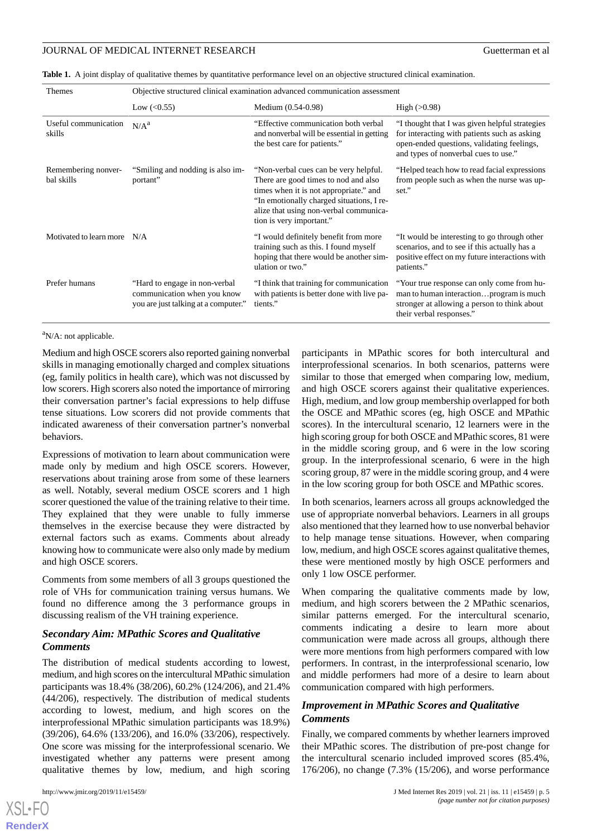<span id="page-6-0"></span>

|  |  |  | Table 1. A joint display of qualitative themes by quantitative performance level on an objective structured clinical examination |  |
|--|--|--|----------------------------------------------------------------------------------------------------------------------------------|--|
|--|--|--|----------------------------------------------------------------------------------------------------------------------------------|--|

| Themes                            | Objective structured clinical examination advanced communication assessment                           |                                                                                                                                                                                                                                            |                                                                                                                                                                                      |
|-----------------------------------|-------------------------------------------------------------------------------------------------------|--------------------------------------------------------------------------------------------------------------------------------------------------------------------------------------------------------------------------------------------|--------------------------------------------------------------------------------------------------------------------------------------------------------------------------------------|
|                                   | Low $(<0.55)$                                                                                         | Medium (0.54-0.98)                                                                                                                                                                                                                         | High $(>0.98)$                                                                                                                                                                       |
| Useful communication<br>skills    | N/A <sup>a</sup>                                                                                      | "Effective communication both verbal<br>and nonverbal will be essential in getting<br>the best care for patients."                                                                                                                         | "I thought that I was given helpful strategies<br>for interacting with patients such as asking<br>open-ended questions, validating feelings,<br>and types of nonverbal cues to use." |
| Remembering nonver-<br>bal skills | "Smiling and nodding is also im-<br>portant"                                                          | "Non-verbal cues can be very helpful.<br>There are good times to nod and also<br>times when it is not appropriate." and<br>"In emotionally charged situations, I re-<br>alize that using non-verbal communica-<br>tion is very important." | "Helped teach how to read facial expressions"<br>from people such as when the nurse was up-<br>set."                                                                                 |
| Motivated to learn more           | N/A                                                                                                   | "I would definitely benefit from more<br>training such as this. I found myself<br>hoping that there would be another sim-<br>ulation or two."                                                                                              | "It would be interesting to go through other<br>scenarios, and to see if this actually has a<br>positive effect on my future interactions with<br>patients."                         |
| Prefer humans                     | "Hard to engage in non-verbal"<br>communication when you know<br>you are just talking at a computer." | "I think that training for communication<br>with patients is better done with live pa-<br>tients."                                                                                                                                         | "Your true response can only come from hu-<br>man to human interactionprogram is much<br>stronger at allowing a person to think about<br>their verbal responses."                    |

 $\mathrm{N/A}$ : not applicable.

Medium and high OSCE scorers also reported gaining nonverbal skills in managing emotionally charged and complex situations (eg, family politics in health care), which was not discussed by low scorers. High scorers also noted the importance of mirroring their conversation partner's facial expressions to help diffuse tense situations. Low scorers did not provide comments that indicated awareness of their conversation partner's nonverbal behaviors.

Expressions of motivation to learn about communication were made only by medium and high OSCE scorers. However, reservations about training arose from some of these learners as well. Notably, several medium OSCE scorers and 1 high scorer questioned the value of the training relative to their time. They explained that they were unable to fully immerse themselves in the exercise because they were distracted by external factors such as exams. Comments about already knowing how to communicate were also only made by medium and high OSCE scorers.

Comments from some members of all 3 groups questioned the role of VHs for communication training versus humans. We found no difference among the 3 performance groups in discussing realism of the VH training experience.

# *Secondary Aim: MPathic Scores and Qualitative Comments*

The distribution of medical students according to lowest, medium, and high scores on the intercultural MPathic simulation participants was 18.4% (38/206), 60.2% (124/206), and 21.4% (44/206), respectively. The distribution of medical students according to lowest, medium, and high scores on the interprofessional MPathic simulation participants was 18.9%) (39/206), 64.6% (133/206), and 16.0% (33/206), respectively. One score was missing for the interprofessional scenario. We investigated whether any patterns were present among qualitative themes by low, medium, and high scoring

 $XSI - F($ **[RenderX](http://www.renderx.com/)** participants in MPathic scores for both intercultural and interprofessional scenarios. In both scenarios, patterns were similar to those that emerged when comparing low, medium, and high OSCE scorers against their qualitative experiences. High, medium, and low group membership overlapped for both the OSCE and MPathic scores (eg, high OSCE and MPathic scores). In the intercultural scenario, 12 learners were in the high scoring group for both OSCE and MPathic scores, 81 were in the middle scoring group, and 6 were in the low scoring group. In the interprofessional scenario, 6 were in the high scoring group, 87 were in the middle scoring group, and 4 were in the low scoring group for both OSCE and MPathic scores.

In both scenarios, learners across all groups acknowledged the use of appropriate nonverbal behaviors. Learners in all groups also mentioned that they learned how to use nonverbal behavior to help manage tense situations. However, when comparing low, medium, and high OSCE scores against qualitative themes, these were mentioned mostly by high OSCE performers and only 1 low OSCE performer.

When comparing the qualitative comments made by low, medium, and high scorers between the 2 MPathic scenarios, similar patterns emerged. For the intercultural scenario, comments indicating a desire to learn more about communication were made across all groups, although there were more mentions from high performers compared with low performers. In contrast, in the interprofessional scenario, low and middle performers had more of a desire to learn about communication compared with high performers.

# *Improvement in MPathic Scores and Qualitative Comments*

Finally, we compared comments by whether learners improved their MPathic scores. The distribution of pre-post change for the intercultural scenario included improved scores (85.4%, 176/206), no change (7.3% (15/206), and worse performance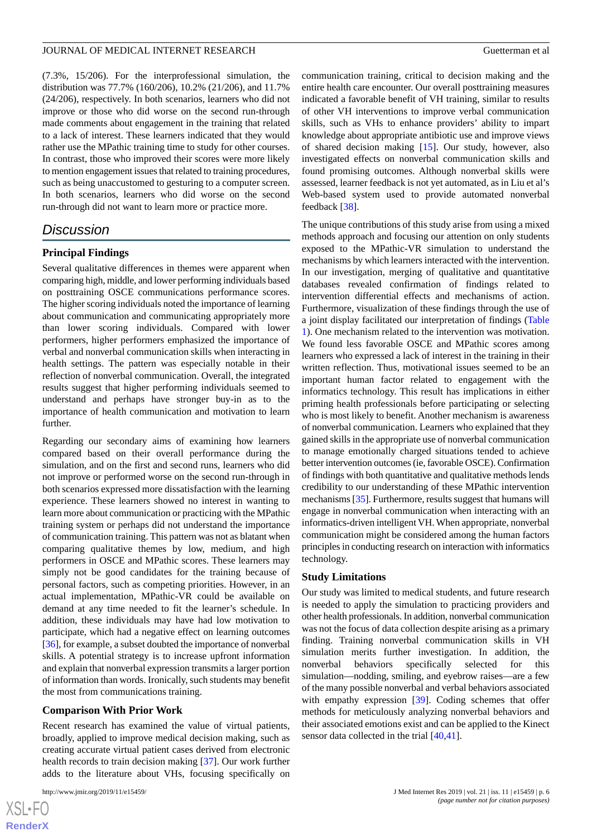(7.3%, 15/206). For the interprofessional simulation, the distribution was 77.7% (160/206), 10.2% (21/206), and 11.7% (24/206), respectively. In both scenarios, learners who did not improve or those who did worse on the second run-through made comments about engagement in the training that related to a lack of interest. These learners indicated that they would rather use the MPathic training time to study for other courses. In contrast, those who improved their scores were more likely to mention engagement issues that related to training procedures, such as being unaccustomed to gesturing to a computer screen. In both scenarios, learners who did worse on the second run-through did not want to learn more or practice more.

# *Discussion*

# **Principal Findings**

Several qualitative differences in themes were apparent when comparing high, middle, and lower performing individuals based on posttraining OSCE communications performance scores. The higher scoring individuals noted the importance of learning about communication and communicating appropriately more than lower scoring individuals. Compared with lower performers, higher performers emphasized the importance of verbal and nonverbal communication skills when interacting in health settings. The pattern was especially notable in their reflection of nonverbal communication. Overall, the integrated results suggest that higher performing individuals seemed to understand and perhaps have stronger buy-in as to the importance of health communication and motivation to learn further.

Regarding our secondary aims of examining how learners compared based on their overall performance during the simulation, and on the first and second runs, learners who did not improve or performed worse on the second run-through in both scenarios expressed more dissatisfaction with the learning experience. These learners showed no interest in wanting to learn more about communication or practicing with the MPathic training system or perhaps did not understand the importance of communication training. This pattern was not as blatant when comparing qualitative themes by low, medium, and high performers in OSCE and MPathic scores. These learners may simply not be good candidates for the training because of personal factors, such as competing priorities. However, in an actual implementation, MPathic-VR could be available on demand at any time needed to fit the learner's schedule. In addition, these individuals may have had low motivation to participate, which had a negative effect on learning outcomes [[36\]](#page-9-14), for example, a subset doubted the importance of nonverbal skills. A potential strategy is to increase upfront information and explain that nonverbal expression transmits a larger portion of information than words. Ironically, such students may benefit the most from communications training.

#### **Comparison With Prior Work**

Recent research has examined the value of virtual patients, broadly, applied to improve medical decision making, such as creating accurate virtual patient cases derived from electronic health records to train decision making [[37\]](#page-9-15). Our work further adds to the literature about VHs, focusing specifically on

communication training, critical to decision making and the entire health care encounter. Our overall posttraining measures indicated a favorable benefit of VH training, similar to results of other VH interventions to improve verbal communication skills, such as VHs to enhance providers' ability to impart knowledge about appropriate antibiotic use and improve views of shared decision making [\[15](#page-8-10)]. Our study, however, also investigated effects on nonverbal communication skills and found promising outcomes. Although nonverbal skills were assessed, learner feedback is not yet automated, as in Liu et al's Web-based system used to provide automated nonverbal feedback [[38\]](#page-9-16).

The unique contributions of this study arise from using a mixed methods approach and focusing our attention on only students exposed to the MPathic-VR simulation to understand the mechanisms by which learners interacted with the intervention. In our investigation, merging of qualitative and quantitative databases revealed confirmation of findings related to intervention differential effects and mechanisms of action. Furthermore, visualization of these findings through the use of a joint display facilitated our interpretation of findings ([Table](#page-6-0) [1\)](#page-6-0). One mechanism related to the intervention was motivation. We found less favorable OSCE and MPathic scores among learners who expressed a lack of interest in the training in their written reflection. Thus, motivational issues seemed to be an important human factor related to engagement with the informatics technology. This result has implications in either priming health professionals before participating or selecting who is most likely to benefit. Another mechanism is awareness of nonverbal communication. Learners who explained that they gained skills in the appropriate use of nonverbal communication to manage emotionally charged situations tended to achieve better intervention outcomes (ie, favorable OSCE). Confirmation of findings with both quantitative and qualitative methods lends credibility to our understanding of these MPathic intervention mechanisms [[35\]](#page-9-13). Furthermore, results suggest that humans will engage in nonverbal communication when interacting with an informatics-driven intelligent VH. When appropriate, nonverbal communication might be considered among the human factors principles in conducting research on interaction with informatics technology.

#### **Study Limitations**

Our study was limited to medical students, and future research is needed to apply the simulation to practicing providers and other health professionals. In addition, nonverbal communication was not the focus of data collection despite arising as a primary finding. Training nonverbal communication skills in VH simulation merits further investigation. In addition, the nonverbal behaviors specifically selected for this simulation—nodding, smiling, and eyebrow raises—are a few of the many possible nonverbal and verbal behaviors associated with empathy expression [[39\]](#page-9-17). Coding schemes that offer methods for meticulously analyzing nonverbal behaviors and their associated emotions exist and can be applied to the Kinect sensor data collected in the trial  $[40, 41]$  $[40, 41]$  $[40, 41]$ .

```
XSL•FO
RenderX
```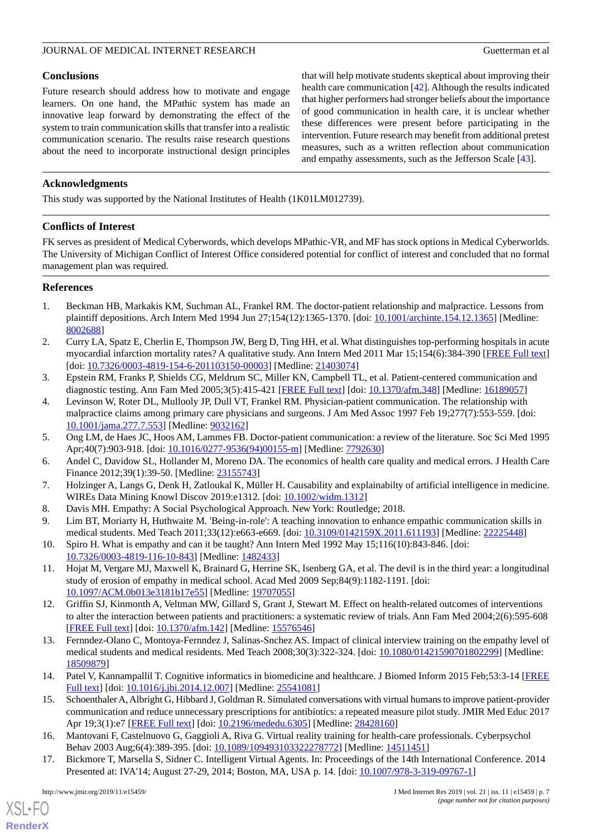# **Conclusions**

Future research should address how to motivate and engage learners. On one hand, the MPathic system has made an innovative leap forward by demonstrating the effect of the system to train communication skills that transfer into a realistic communication scenario. The results raise research questions about the need to incorporate instructional design principles

that will help motivate students skeptical about improving their health care communication [\[42](#page-9-20)]. Although the results indicated that higher performers had stronger beliefs about the importance of good communication in health care, it is unclear whether these differences were present before participating in the intervention. Future research may benefit from additional pretest measures, such as a written reflection about communication and empathy assessments, such as the Jefferson Scale [[43\]](#page-9-21).

# **Acknowledgments**

This study was supported by the National Institutes of Health (1K01LM012739).

# **Conflicts of Interest**

FK serves as president of Medical Cyberwords, which develops MPathic-VR, and MF has stock options in Medical Cyberworlds. The University of Michigan Conflict of Interest Office considered potential for conflict of interest and concluded that no formal management plan was required.

# <span id="page-8-0"></span>**References**

- 1. Beckman HB, Markakis KM, Suchman AL, Frankel RM. The doctor-patient relationship and malpractice. Lessons from plaintiff depositions. Arch Intern Med 1994 Jun 27;154(12):1365-1370. [doi: [10.1001/archinte.154.12.1365](http://dx.doi.org/10.1001/archinte.154.12.1365)] [Medline: [8002688\]](http://www.ncbi.nlm.nih.gov/entrez/query.fcgi?cmd=Retrieve&db=PubMed&list_uids=8002688&dopt=Abstract)
- 2. Curry LA, Spatz E, Cherlin E, Thompson JW, Berg D, Ting HH, et al. What distinguishes top-performing hospitals in acute myocardial infarction mortality rates? A qualitative study. Ann Intern Med 2011 Mar 15;154(6):384-390 [\[FREE Full text](http://europepmc.org/abstract/MED/21403074)] [doi: [10.7326/0003-4819-154-6-201103150-00003\]](http://dx.doi.org/10.7326/0003-4819-154-6-201103150-00003) [Medline: [21403074\]](http://www.ncbi.nlm.nih.gov/entrez/query.fcgi?cmd=Retrieve&db=PubMed&list_uids=21403074&dopt=Abstract)
- 3. Epstein RM, Franks P, Shields CG, Meldrum SC, Miller KN, Campbell TL, et al. Patient-centered communication and diagnostic testing. Ann Fam Med 2005;3(5):415-421 [\[FREE Full text\]](http://www.annfammed.org/cgi/pmidlookup?view=long&pmid=16189057) [doi: [10.1370/afm.348](http://dx.doi.org/10.1370/afm.348)] [Medline: [16189057](http://www.ncbi.nlm.nih.gov/entrez/query.fcgi?cmd=Retrieve&db=PubMed&list_uids=16189057&dopt=Abstract)]
- <span id="page-8-1"></span>4. Levinson W, Roter DL, Mullooly JP, Dull VT, Frankel RM. Physician-patient communication. The relationship with malpractice claims among primary care physicians and surgeons. J Am Med Assoc 1997 Feb 19;277(7):553-559. [doi: [10.1001/jama.277.7.553\]](http://dx.doi.org/10.1001/jama.277.7.553) [Medline: [9032162](http://www.ncbi.nlm.nih.gov/entrez/query.fcgi?cmd=Retrieve&db=PubMed&list_uids=9032162&dopt=Abstract)]
- <span id="page-8-2"></span>5. Ong LM, de Haes JC, Hoos AM, Lammes FB. Doctor-patient communication: a review of the literature. Soc Sci Med 1995 Apr;40(7):903-918. [doi: [10.1016/0277-9536\(94\)00155-m](http://dx.doi.org/10.1016/0277-9536(94)00155-m)] [Medline: [7792630](http://www.ncbi.nlm.nih.gov/entrez/query.fcgi?cmd=Retrieve&db=PubMed&list_uids=7792630&dopt=Abstract)]
- <span id="page-8-4"></span><span id="page-8-3"></span>6. Andel C, Davidow SL, Hollander M, Moreno DA. The economics of health care quality and medical errors. J Health Care Finance 2012;39(1):39-50. [Medline: [23155743](http://www.ncbi.nlm.nih.gov/entrez/query.fcgi?cmd=Retrieve&db=PubMed&list_uids=23155743&dopt=Abstract)]
- <span id="page-8-5"></span>7. Holzinger A, Langs G, Denk H, Zatloukal K, Müller H. Causability and explainabilty of artificial intelligence in medicine. WIREs Data Mining Knowl Discov 2019:e1312. [doi: [10.1002/widm.1312](http://dx.doi.org/10.1002/widm.1312)]
- <span id="page-8-6"></span>8. Davis MH. Empathy: A Social Psychological Approach. New York: Routledge; 2018.
- 9. Lim BT, Moriarty H, Huthwaite M. 'Being-in-role': A teaching innovation to enhance empathic communication skills in medical students. Med Teach 2011;33(12):e663-e669. [doi: [10.3109/0142159X.2011.611193\]](http://dx.doi.org/10.3109/0142159X.2011.611193) [Medline: [22225448](http://www.ncbi.nlm.nih.gov/entrez/query.fcgi?cmd=Retrieve&db=PubMed&list_uids=22225448&dopt=Abstract)]
- <span id="page-8-7"></span>10. Spiro H. What is empathy and can it be taught? Ann Intern Med 1992 May 15;116(10):843-846. [doi: [10.7326/0003-4819-116-10-843](http://dx.doi.org/10.7326/0003-4819-116-10-843)] [Medline: [1482433\]](http://www.ncbi.nlm.nih.gov/entrez/query.fcgi?cmd=Retrieve&db=PubMed&list_uids=1482433&dopt=Abstract)
- <span id="page-8-8"></span>11. Hojat M, Vergare MJ, Maxwell K, Brainard G, Herrine SK, Isenberg GA, et al. The devil is in the third year: a longitudinal study of erosion of empathy in medical school. Acad Med 2009 Sep;84(9):1182-1191. [doi: [10.1097/ACM.0b013e3181b17e55\]](http://dx.doi.org/10.1097/ACM.0b013e3181b17e55) [Medline: [19707055](http://www.ncbi.nlm.nih.gov/entrez/query.fcgi?cmd=Retrieve&db=PubMed&list_uids=19707055&dopt=Abstract)]
- <span id="page-8-9"></span>12. Griffin SJ, Kinmonth A, Veltman MW, Gillard S, Grant J, Stewart M. Effect on health-related outcomes of interventions to alter the interaction between patients and practitioners: a systematic review of trials. Ann Fam Med 2004;2(6):595-608 [[FREE Full text](http://www.annfammed.org/cgi/pmidlookup?view=long&pmid=15576546)] [doi: [10.1370/afm.142\]](http://dx.doi.org/10.1370/afm.142) [Medline: [15576546\]](http://www.ncbi.nlm.nih.gov/entrez/query.fcgi?cmd=Retrieve&db=PubMed&list_uids=15576546&dopt=Abstract)
- <span id="page-8-10"></span>13. Fernndez-Olano C, Montoya-Fernndez J, Salinas-Snchez AS. Impact of clinical interview training on the empathy level of medical students and medical residents. Med Teach 2008;30(3):322-324. [doi: [10.1080/01421590701802299\]](http://dx.doi.org/10.1080/01421590701802299) [Medline: [18509879](http://www.ncbi.nlm.nih.gov/entrez/query.fcgi?cmd=Retrieve&db=PubMed&list_uids=18509879&dopt=Abstract)]
- <span id="page-8-12"></span><span id="page-8-11"></span>14. Patel V, Kannampallil T. Cognitive informatics in biomedicine and healthcare. J Biomed Inform 2015 Feb;53:3-14 [\[FREE](https://linkinghub.elsevier.com/retrieve/pii/S1532-0464(14)00272-X) [Full text\]](https://linkinghub.elsevier.com/retrieve/pii/S1532-0464(14)00272-X) [doi: [10.1016/j.jbi.2014.12.007\]](http://dx.doi.org/10.1016/j.jbi.2014.12.007) [Medline: [25541081\]](http://www.ncbi.nlm.nih.gov/entrez/query.fcgi?cmd=Retrieve&db=PubMed&list_uids=25541081&dopt=Abstract)
- 15. Schoenthaler A, Albright G, Hibbard J, Goldman R. Simulated conversations with virtual humans to improve patient-provider communication and reduce unnecessary prescriptions for antibiotics: a repeated measure pilot study. JMIR Med Educ 2017 Apr 19;3(1):e7 [\[FREE Full text](https://mededu.jmir.org/2017/1/e7/)] [doi: [10.2196/mededu.6305](http://dx.doi.org/10.2196/mededu.6305)] [Medline: [28428160\]](http://www.ncbi.nlm.nih.gov/entrez/query.fcgi?cmd=Retrieve&db=PubMed&list_uids=28428160&dopt=Abstract)
- 16. Mantovani F, Castelnuovo G, Gaggioli A, Riva G. Virtual reality training for health-care professionals. Cyberpsychol Behav 2003 Aug;6(4):389-395. [doi: [10.1089/109493103322278772\]](http://dx.doi.org/10.1089/109493103322278772) [Medline: [14511451](http://www.ncbi.nlm.nih.gov/entrez/query.fcgi?cmd=Retrieve&db=PubMed&list_uids=14511451&dopt=Abstract)]
- 17. Bickmore T, Marsella S, Sidner C. Intelligent Virtual Agents. In: Proceedings of the 14th International Conference. 2014 Presented at: IVA'14; August 27-29, 2014; Boston, MA, USA p. 14. [doi: [10.1007/978-3-319-09767-1](http://dx.doi.org/10.1007/978-3-319-09767-1)]

[XSL](http://www.w3.org/Style/XSL)•FO **[RenderX](http://www.renderx.com/)**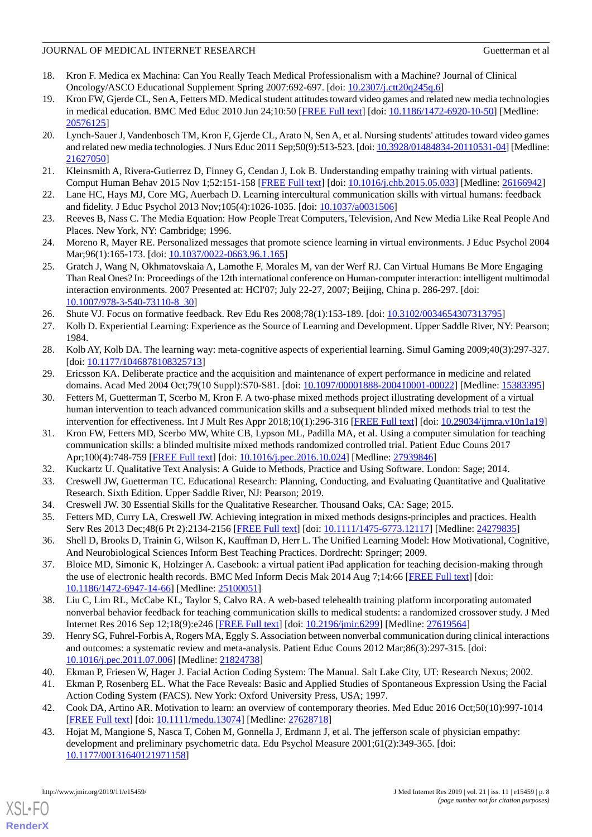# JOURNAL OF MEDICAL INTERNET RESEARCH GUETTER OF A Guetterman et al.

- <span id="page-9-0"></span>18. Kron F. Medica ex Machina: Can You Really Teach Medical Professionalism with a Machine? Journal of Clinical Oncology/ASCO Educational Supplement Spring 2007:692-697. [doi: [10.2307/j.ctt20q245q.6](http://dx.doi.org/10.2307/j.ctt20q245q.6)]
- 19. Kron FW, Gjerde CL, Sen A, Fetters MD. Medical student attitudes toward video games and related new media technologies in medical education. BMC Med Educ 2010 Jun 24;10:50 [[FREE Full text](https://bmcmededuc.biomedcentral.com/articles/10.1186/1472-6920-10-50)] [doi: [10.1186/1472-6920-10-50\]](http://dx.doi.org/10.1186/1472-6920-10-50) [Medline: [20576125](http://www.ncbi.nlm.nih.gov/entrez/query.fcgi?cmd=Retrieve&db=PubMed&list_uids=20576125&dopt=Abstract)]
- 20. Lynch-Sauer J, Vandenbosch TM, Kron F, Gjerde CL, Arato N, Sen A, et al. Nursing students' attitudes toward video games and related new media technologies. J Nurs Educ 2011 Sep;50(9):513-523. [doi: [10.3928/01484834-20110531-04\]](http://dx.doi.org/10.3928/01484834-20110531-04) [Medline: [21627050](http://www.ncbi.nlm.nih.gov/entrez/query.fcgi?cmd=Retrieve&db=PubMed&list_uids=21627050&dopt=Abstract)]
- <span id="page-9-2"></span><span id="page-9-1"></span>21. Kleinsmith A, Rivera-Gutierrez D, Finney G, Cendan J, Lok B. Understanding empathy training with virtual patients. Comput Human Behav 2015 Nov 1;52:151-158 [[FREE Full text](http://europepmc.org/abstract/MED/26166942)] [doi: [10.1016/j.chb.2015.05.033\]](http://dx.doi.org/10.1016/j.chb.2015.05.033) [Medline: [26166942](http://www.ncbi.nlm.nih.gov/entrez/query.fcgi?cmd=Retrieve&db=PubMed&list_uids=26166942&dopt=Abstract)]
- <span id="page-9-3"></span>22. Lane HC, Hays MJ, Core MG, Auerbach D. Learning intercultural communication skills with virtual humans: feedback and fidelity. J Educ Psychol 2013 Nov;105(4):1026-1035. [doi: [10.1037/a0031506](http://dx.doi.org/10.1037/a0031506)]
- <span id="page-9-4"></span>23. Reeves B, Nass C. The Media Equation: How People Treat Computers, Television, And New Media Like Real People And Places. New York, NY: Cambridge; 1996.
- <span id="page-9-5"></span>24. Moreno R, Mayer RE. Personalized messages that promote science learning in virtual environments. J Educ Psychol 2004 Mar;96(1):165-173. [doi: [10.1037/0022-0663.96.1.165](http://dx.doi.org/10.1037/0022-0663.96.1.165)]
- <span id="page-9-6"></span>25. Gratch J, Wang N, Okhmatovskaia A, Lamothe F, Morales M, van der Werf RJ. Can Virtual Humans Be More Engaging Than Real Ones? In: Proceedings of the 12th international conference on Human-computer interaction: intelligent multimodal interaction environments. 2007 Presented at: HCI'07; July 22-27, 2007; Beijing, China p. 286-297. [doi: [10.1007/978-3-540-73110-8\\_30](http://dx.doi.org/10.1007/978-3-540-73110-8_30)]
- 26. Shute VJ. Focus on formative feedback. Rev Edu Res 2008;78(1):153-189. [doi: [10.3102/0034654307313795\]](http://dx.doi.org/10.3102/0034654307313795)
- <span id="page-9-7"></span>27. Kolb D. Experiential Learning: Experience as the Source of Learning and Development. Upper Saddle River, NY: Pearson; 1984.
- <span id="page-9-8"></span>28. Kolb AY, Kolb DA. The learning way: meta-cognitive aspects of experiential learning. Simul Gaming 2009;40(3):297-327. [doi: [10.1177/1046878108325713](http://dx.doi.org/10.1177/1046878108325713)]
- 29. Ericsson KA. Deliberate practice and the acquisition and maintenance of expert performance in medicine and related domains. Acad Med 2004 Oct;79(10 Suppl):S70-S81. [doi: [10.1097/00001888-200410001-00022](http://dx.doi.org/10.1097/00001888-200410001-00022)] [Medline: [15383395\]](http://www.ncbi.nlm.nih.gov/entrez/query.fcgi?cmd=Retrieve&db=PubMed&list_uids=15383395&dopt=Abstract)
- <span id="page-9-9"></span>30. Fetters M, Guetterman T, Scerbo M, Kron F. A two-phase mixed methods project illustrating development of a virtual human intervention to teach advanced communication skills and a subsequent blinded mixed methods trial to test the intervention for effectiveness. Int J Mult Res Appr 2018;10(1):296-316 [\[FREE Full text\]](https://doi.org/10.29034/ijmra.v10n1a19) [doi: [10.29034/ijmra.v10n1a19](http://dx.doi.org/10.29034/ijmra.v10n1a19)]
- <span id="page-9-11"></span><span id="page-9-10"></span>31. Kron FW, Fetters MD, Scerbo MW, White CB, Lypson ML, Padilla MA, et al. Using a computer simulation for teaching communication skills: a blinded multisite mixed methods randomized controlled trial. Patient Educ Couns 2017 Apr;100(4):748-759 [\[FREE Full text\]](http://europepmc.org/abstract/MED/27939846) [doi: [10.1016/j.pec.2016.10.024](http://dx.doi.org/10.1016/j.pec.2016.10.024)] [Medline: [27939846\]](http://www.ncbi.nlm.nih.gov/entrez/query.fcgi?cmd=Retrieve&db=PubMed&list_uids=27939846&dopt=Abstract)
- <span id="page-9-13"></span><span id="page-9-12"></span>32. Kuckartz U. Qualitative Text Analysis: A Guide to Methods, Practice and Using Software. London: Sage; 2014.
- <span id="page-9-14"></span>33. Creswell JW, Guetterman TC. Educational Research: Planning, Conducting, and Evaluating Quantitative and Qualitative Research. Sixth Edition. Upper Saddle River, NJ: Pearson; 2019.
- <span id="page-9-15"></span>34. Creswell JW. 30 Essential Skills for the Qualitative Researcher. Thousand Oaks, CA: Sage; 2015.
- 35. Fetters MD, Curry LA, Creswell JW. Achieving integration in mixed methods designs-principles and practices. Health Serv Res 2013 Dec;48(6 Pt 2):2134-2156 [\[FREE Full text\]](http://europepmc.org/abstract/MED/24279835) [doi: [10.1111/1475-6773.12117\]](http://dx.doi.org/10.1111/1475-6773.12117) [Medline: [24279835\]](http://www.ncbi.nlm.nih.gov/entrez/query.fcgi?cmd=Retrieve&db=PubMed&list_uids=24279835&dopt=Abstract)
- <span id="page-9-16"></span>36. Shell D, Brooks D, Trainin G, Wilson K, Kauffman D, Herr L. The Unified Learning Model: How Motivational, Cognitive, And Neurobiological Sciences Inform Best Teaching Practices. Dordrecht: Springer; 2009.
- <span id="page-9-17"></span>37. Bloice MD, Simonic K, Holzinger A. Casebook: a virtual patient iPad application for teaching decision-making through the use of electronic health records. BMC Med Inform Decis Mak 2014 Aug 7;14:66 [\[FREE Full text\]](https://bmcmedinformdecismak.biomedcentral.com/articles/10.1186/1472-6947-14-66) [doi: [10.1186/1472-6947-14-66\]](http://dx.doi.org/10.1186/1472-6947-14-66) [Medline: [25100051\]](http://www.ncbi.nlm.nih.gov/entrez/query.fcgi?cmd=Retrieve&db=PubMed&list_uids=25100051&dopt=Abstract)
- <span id="page-9-19"></span><span id="page-9-18"></span>38. Liu C, Lim RL, McCabe KL, Taylor S, Calvo RA. A web-based telehealth training platform incorporating automated nonverbal behavior feedback for teaching communication skills to medical students: a randomized crossover study. J Med Internet Res 2016 Sep 12;18(9):e246 [\[FREE Full text](https://www.jmir.org/2016/9/e246/)] [doi: [10.2196/jmir.6299\]](http://dx.doi.org/10.2196/jmir.6299) [Medline: [27619564](http://www.ncbi.nlm.nih.gov/entrez/query.fcgi?cmd=Retrieve&db=PubMed&list_uids=27619564&dopt=Abstract)]
- <span id="page-9-20"></span>39. Henry SG, Fuhrel-Forbis A, Rogers MA, Eggly S. Association between nonverbal communication during clinical interactions and outcomes: a systematic review and meta-analysis. Patient Educ Couns 2012 Mar;86(3):297-315. [doi: [10.1016/j.pec.2011.07.006\]](http://dx.doi.org/10.1016/j.pec.2011.07.006) [Medline: [21824738](http://www.ncbi.nlm.nih.gov/entrez/query.fcgi?cmd=Retrieve&db=PubMed&list_uids=21824738&dopt=Abstract)]
- <span id="page-9-21"></span>40. Ekman P, Friesen W, Hager J. Facial Action Coding System: The Manual. Salt Lake City, UT: Research Nexus; 2002.
- 41. Ekman P, Rosenberg EL. What the Face Reveals: Basic and Applied Studies of Spontaneous Expression Using the Facial Action Coding System (FACS). New York: Oxford University Press, USA; 1997.
- 42. Cook DA, Artino AR. Motivation to learn: an overview of contemporary theories. Med Educ 2016 Oct;50(10):997-1014 [[FREE Full text](http://europepmc.org/abstract/MED/27628718)] [doi: [10.1111/medu.13074](http://dx.doi.org/10.1111/medu.13074)] [Medline: [27628718](http://www.ncbi.nlm.nih.gov/entrez/query.fcgi?cmd=Retrieve&db=PubMed&list_uids=27628718&dopt=Abstract)]
- 43. Hojat M, Mangione S, Nasca T, Cohen M, Gonnella J, Erdmann J, et al. The jefferson scale of physician empathy: development and preliminary psychometric data. Edu Psychol Measure 2001;61(2):349-365. [doi: [10.1177/00131640121971158\]](http://dx.doi.org/10.1177/00131640121971158)

[XSL](http://www.w3.org/Style/XSL)•FO **[RenderX](http://www.renderx.com/)**